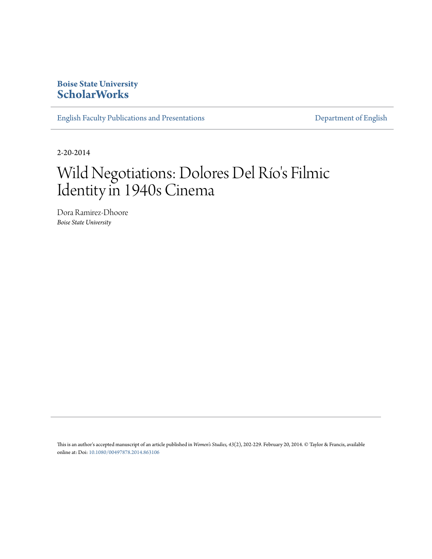### **Boise State University [ScholarWorks](https://scholarworks.boisestate.edu)**

[English Faculty Publications and Presentations](https://scholarworks.boisestate.edu/english_facpubs) **[Department of English](https://scholarworks.boisestate.edu/english)** 

2-20-2014

# Wild Negotiations: Dolores Del Río's Filmic Identity in 1940s Cinema

Dora Ramirez-Dhoore *Boise State University*

This is an author's accepted manuscript of an article published in *Women's Studies, 43*(2), 202-229. February 20, 2014. © Taylor & Francis, available online at: Doi: [10.1080/00497878.2014.863106](http://dx.doi.org/10.1080/00497878.2014.863106)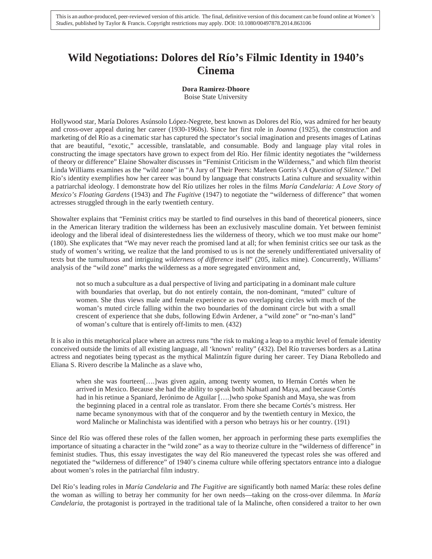## **Wild Negotiations: Dolores del Río's Filmic Identity in 1940's Cinema**

#### **Dora Ramirez-Dhoore**

Boise State University

Hollywood star, María Dolores Asúnsolo López-Negrete, best known as Dolores del Río, was admired for her beauty and cross-over appeal during her career (1930-1960s). Since her first role in *Joanna* (1925), the construction and marketing of del Río as a cinematic star has captured the spectator's social imagination and presents images of Latinas that are beautiful, "exotic," accessible, translatable, and consumable. Body and language play vital roles in constructing the image spectators have grown to expect from del Río. Her filmic identity negotiates the "wilderness of theory or difference" Elaine Showalter discusses in "Feminist Criticism in the Wilderness," and which film theorist Linda Williams examines as the "wild zone" in "A Jury of Their Peers: Marleen Gorris's *A Question of Silence.*" Del Río's identity exemplifies how her career was bound by language that constructs Latina culture and sexuality within a patriarchal ideology. I demonstrate how del Río utilizes her roles in the films *María Candelaria: A Love Story of Mexico's Floating Gardens* (1943) and *The Fugitive* (1947) to negotiate the "wilderness of difference" that women actresses struggled through in the early twentieth century.

Showalter explains that "Feminist critics may be startled to find ourselves in this band of theoretical pioneers, since in the American literary tradition the wilderness has been an exclusively masculine domain. Yet between feminist ideology and the liberal ideal of disinterestedness lies the wilderness of theory, which we too must make our home" (180). She explicates that "We may never reach the promised land at all; for when feminist critics see our task as the study of women's writing, we realize that the land promised to us is not the serenely undifferentiated universality of texts but the tumultuous and intriguing *wilderness of difference* itself" (205, italics mine). Concurrently, Williams' analysis of the "wild zone" marks the wilderness as a more segregated environment and,

not so much a subculture as a dual perspective of living and participating in a dominant male culture with boundaries that overlap, but do not entirely contain, the non-dominant, "muted" culture of women. She thus views male and female experience as two overlapping circles with much of the woman's muted circle falling within the two boundaries of the dominant circle but with a small crescent of experience that she dubs, following Edwin Ardener, a "wild zone" or "no-man's land" of woman's culture that is entirely off-limits to men. (432)

It is also in this metaphorical place where an actress runs "the risk to making a leap to a mythic level of female identity conceived outside the limits of all existing language, all 'known' reality" (432). Del Río traverses borders as a Latina actress and negotiates being typecast as the mythical Malintzín figure during her career. Tey Diana Rebolledo and Eliana S. Rivero describe la Malinche as a slave who,

when she was fourteen[….]was given again, among twenty women, to Hernán Cortés when he arrived in Mexico. Because she had the ability to speak both Nahuatl and Maya, and because Cortés had in his retinue a Spaniard, Jerónimo de Aguilar [….]who spoke Spanish and Maya, she was from the beginning placed in a central role as translator. From there she became Cortés's mistress. Her name became synonymous with that of the conqueror and by the twentieth century in Mexico, the word Malinche or Malinchista was identified with a person who betrays his or her country. (191)

Since del Río was offered these roles of the fallen women, her approach in performing these parts exemplifies the importance of situating a character in the "wild zone" as a way to theorize culture in the "wilderness of difference" in feminist studies. Thus, this essay investigates the way del Río maneuvered the typecast roles she was offered and negotiated the "wilderness of difference" of 1940's cinema culture while offering spectators entrance into a dialogue about women's roles in the patriarchal film industry.

Del Río's leading roles in *María Candelaria* and *The Fugitive* are significantly both named María: these roles define the woman as willing to betray her community for her own needs—taking on the cross-over dilemma. In *María Candelaria*, the protagonist is portrayed in the traditional tale of la Malinche, often considered a traitor to her own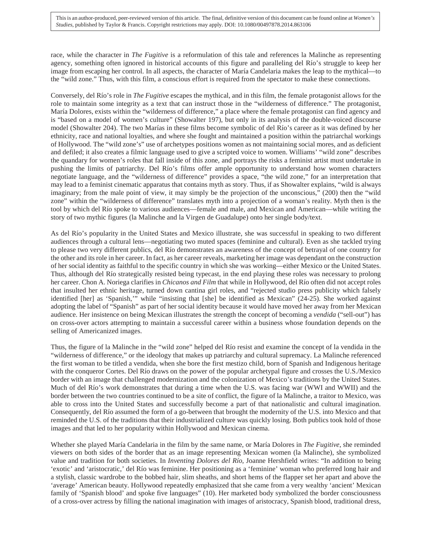race, while the character in *The Fugitive* is a reformulation of this tale and references la Malinche as representing agency, something often ignored in historical accounts of this figure and paralleling del Río's struggle to keep her image from escaping her control. In all aspects, the character of María Candelaria makes the leap to the mythical—to the "wild zone." Thus, with this film, a conscious effort is required from the spectator to make these connections.

Conversely, del Río's role in *The Fugitive* escapes the mythical, and in this film, the female protagonist allows for the role to maintain some integrity as a text that can instruct those in the "wilderness of difference." The protagonist, María Dolores, exists within the "wilderness of difference," a place where the female protagonist can find agency and is "based on a model of women's culture" (Showalter 197), but only in its analysis of the double-voiced discourse model (Showalter 204). The two Marías in these films become symbolic of del Río's career as it was defined by her ethnicity, race and national loyalties, and where she fought and maintained a position within the patriarchal workings of Hollywood. The "wild zone's" use of archetypes positions women as not maintaining social mores, and as deficient and defiled; it also creates a filmic language used to give a scripted voice to women. Williams' "wild zone" describes the quandary for women's roles that fall inside of this zone, and portrays the risks a feminist artist must undertake in pushing the limits of patriarchy. Del Río's films offer ample opportunity to understand how women characters negotiate language, and the "wilderness of difference" provides a space, "the wild zone," for an interpretation that may lead to a feminist cinematic apparatus that contains myth as story. Thus, if as Showalter explains, "wild is always imaginary; from the male point of view, it may simply be the projection of the unconscious," (200) then the "wild zone" within the "wilderness of difference" translates myth into a projection of a woman's reality. Myth then is the tool by which del Río spoke to various audiences—female and male, and Mexican and American—while writing the story of two mythic figures (la Malinche and la Virgen de Guadalupe) onto her single body/text.

As del Río's popularity in the United States and Mexico illustrate, she was successful in speaking to two different audiences through a cultural lens—negotiating two muted spaces (feminine and cultural). Even as she tackled trying to please two very different publics, del Río demonstrates an awareness of the concept of betrayal of one country for the other and its role in her career. In fact, as her career reveals, marketing her image was dependant on the construction of her social identity as faithful to the specific country in which she was working—either Mexico or the United States. Thus, although del Río strategically resisted being typecast, in the end playing these roles was necessary to prolong her career. Chon A. Noriega clarifies in *Chicanos and Film* that while in Hollywood, del Río often did not accept roles that insulted her ethnic heritage, turned down cantina girl roles, and "rejected studio press publicity which falsely identified [her] as 'Spanish,'" while "insisting that [she] be identified as Mexican" (24-25). She worked against adopting the label of "Spanish" as part of her social identity because it would have moved her away from her Mexican audience. Her insistence on being Mexican illustrates the strength the concept of becoming a *vendida* ("sell-out") has on cross-over actors attempting to maintain a successful career within a business whose foundation depends on the selling of Americanized images.

Thus, the figure of la Malinche in the "wild zone" helped del Río resist and examine the concept of la vendida in the "wilderness of difference," or the ideology that makes up patriarchy and cultural supremacy. La Malinche referenced the first woman to be titled a vendida, when she bore the first mestizo child, born of Spanish and Indigenous heritage with the conqueror Cortes. Del Río draws on the power of the popular archetypal figure and crosses the U.S./Mexico border with an image that challenged modernization and the colonization of Mexico's traditions by the United States. Much of del Río's work demonstrates that during a time when the U.S. was facing war (WWI and WWII) and the border between the two countries continued to be a site of conflict, the figure of la Malinche, a traitor to Mexico, was able to cross into the United States and successfully become a part of that nationalistic and cultural imagination. Consequently, del Río assumed the form of a go-between that brought the modernity of the U.S. into Mexico and that reminded the U.S. of the traditions that their industrialized culture was quickly losing. Both publics took hold of those images and that led to her popularity within Hollywood and Mexican cinema.

Whether she played María Candelaria in the film by the same name, or María Dolores in *The Fugitive*, she reminded viewers on both sides of the border that as an image representing Mexican women (la Malinche), she symbolized value and tradition for both societies. In *Inventing Dolores del Río*, Joanne Hershfield writes: "In addition to being 'exotic' and 'aristocratic,' del Río was feminine. Her positioning as a 'feminine' woman who preferred long hair and a stylish, classic wardrobe to the bobbed hair, slim sheaths, and short hems of the flapper set her apart and above the 'average' American beauty. Hollywood repeatedly emphasized that she came from a very wealthy 'ancient' Mexican family of 'Spanish blood' and spoke five languages" (10). Her marketed body symbolized the border consciousness of a cross-over actress by filling the national imagination with images of aristocracy, Spanish blood, traditional dress,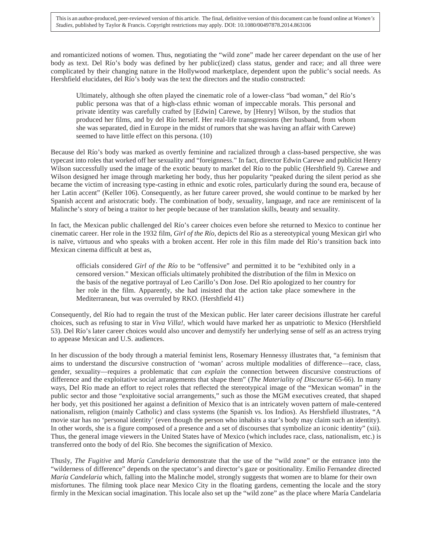and romanticized notions of women. Thus, negotiating the "wild zone" made her career dependant on the use of her body as text. Del Río's body was defined by her public(ized) class status, gender and race; and all three were complicated by their changing nature in the Hollywood marketplace, dependent upon the public's social needs. As Hershfield elucidates, del Río's body was the text the directors and the studio constructed:

Ultimately, although she often played the cinematic role of a lower-class "bad woman," del Río's public persona was that of a high-class ethnic woman of impeccable morals. This personal and private identity was carefully crafted by [Edwin] Carewe, by [Henry] Wilson, by the studios that produced her films, and by del Río herself. Her real-life transgressions (her husband, from whom she was separated, died in Europe in the midst of rumors that she was having an affair with Carewe) seemed to have little effect on this persona. (10)

Because del Río's body was marked as overtly feminine and racialized through a class-based perspective, she was typecast into roles that worked off her sexuality and "foreignness." In fact, director Edwin Carewe and publicist Henry Wilson successfully used the image of the exotic beauty to market del Río to the public (Hershfield 9). Carewe and Wilson designed her image through marketing her body, thus her popularity "peaked during the silent period as she became the victim of increasing type-casting in ethnic and exotic roles, particularly during the sound era, because of her Latin accent" (Keller 106). Consequently, as her future career proved, she would continue to be marked by her Spanish accent and aristocratic body. The combination of body, sexuality, language, and race are reminiscent of la Malinche's story of being a traitor to her people because of her translation skills, beauty and sexuality.

In fact, the Mexican public challenged del Río's career choices even before she returned to Mexico to continue her cinematic career. Her role in the 1932 film, *Girl of the Río*, depicts del Río as a stereotypical young Mexican girl who is naïve, virtuous and who speaks with a broken accent. Her role in this film made del Río's transition back into Mexican cinema difficult at best as,

officials considered *Girl of the Río* to be "offensive" and permitted it to be "exhibited only in a censored version." Mexican officials ultimately prohibited the distribution of the film in Mexico on the basis of the negative portrayal of Leo Carillo's Don Jose. Del Río apologized to her country for her role in the film. Apparently, she had insisted that the action take place somewhere in the Mediterranean, but was overruled by RKO. (Hershfield 41)

Consequently, del Río had to regain the trust of the Mexican public. Her later career decisions illustrate her careful choices, such as refusing to star in *Viva Villa!,* which would have marked her as unpatriotic to Mexico (Hershfield 53). Del Río's later career choices would also uncover and demystify her underlying sense of self as an actress trying to appease Mexican and U.S. audiences.

In her discussion of the body through a material feminist lens, Rosemary Hennessy illustrates that, "a feminism that aims to understand the discursive construction of 'woman' across multiple modalities of difference—race, class, gender, sexuality—requires a problematic that *can explain* the connection between discursive constructions of difference and the exploitative social arrangements that shape them" (*The Materiality of Discourse* 65-66). In many ways, Del Río made an effort to reject roles that reflected the stereotypical image of the "Mexican woman" in the public sector and those "exploitative social arrangements," such as those the MGM executives created, that shaped her body, yet this positioned her against a definition of Mexico that is an intricately woven pattern of male-centered nationalism, religion (mainly Catholic) and class systems (the Spanish vs. los Indios). As Hershfield illustrates, "A movie star has no 'personal identity' (even though the person who inhabits a star's body may claim such an identity). In other words, she is a figure composed of a presence and a set of discourses that symbolize an iconic identity" (xii). Thus, the general image viewers in the United States have of Mexico (which includes race, class, nationalism, etc.) is transferred onto the body of del Río. She becomes the signification of Mexico.

Thusly, *The Fugitive* and *María Candelaria* demonstrate that the use of the "wild zone" or the entrance into the "wilderness of difference" depends on the spectator's and director's gaze or positionality. Emilio Fernandez directed *María Candelaria* which, falling into the Malinche model, strongly suggests that women are to blame for their own misfortunes. The filming took place near Mexico City in the floating gardens, cementing the locale and the story firmly in the Mexican social imagination. This locale also set up the "wild zone" as the place where María Candelaria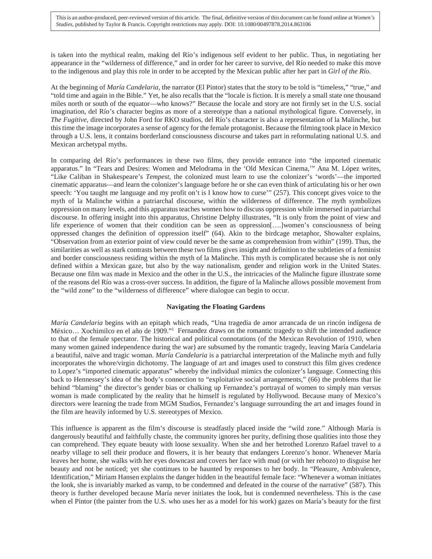is taken into the mythical realm, making del Río's indigenous self evident to her public. Thus, in negotiating her appearance in the "wilderness of difference," and in order for her career to survive, del Río needed to make this move to the indigenous and play this role in order to be accepted by the Mexican public after her part in *Girl of the Río*.

At the beginning of *María Candelaria*, the narrator (El Pintor) states that the story to be told is "timeless," "true," and "told time and again in the Bible." Yet, he also recalls that the "locale is fiction. It is merely a small state one thousand miles north or south of the equator—who knows?" Because the locale and story are not firmly set in the U.S. social imagination, del Río's character begins as more of a stereotype than a national mythological figure. Conversely, in *The Fugitive*, directed by John Ford for RKO studios, del Río's character is also a representation of la Malinche, but this time the image incorporates a sense of agency for the female protagonist. Because the filming took place in Mexico through a U.S. lens, it contains borderland consciousness discourse and takes part in reformulating national U.S. and Mexican archetypal myths.

In comparing del Río's performances in these two films, they provide entrance into "the imported cinematic apparatus." In "Tears and Desires: Women and Melodrama in the 'Old Mexican Cinema,'" Ana M. López writes, "Like Caliban in Shakespeare's *Tempest*, the colonized must learn to use the colonizer's 'words'—the imported cinematic apparatus—and learn the colonizer's language before he or she can even think of articulating his or her own speech: 'You taught me language and my profit on't is I know how to curse'" (257). This concept gives voice to the myth of la Malinche within a patriarchal discourse, within the wilderness of difference. The myth symbolizes oppression on many levels, and this apparatus teaches women how to discuss oppression while immersed in patriarchal discourse. In offering insight into this apparatus, Christine Delphy illustrates, "It is only from the point of view and life experience of women that their condition can be seen as oppression[….]women's consciousness of being oppressed changes the definition of oppression itself" (64). Akin to the birdcage metaphor, Showalter explains, "Observation from an exterior point of view could never be the same as comprehension from within" (199). Thus, the similarities as well as stark contrasts between these two films gives insight and definition to the subtleties of a feminist and border consciousness residing within the myth of la Malinche. This myth is complicated because she is not only defined within a Mexican gaze, but also by the way nationalism, gender and religion work in the United States. Because one film was made in Mexico and the other in the U.S., the intricacies of the Malinche figure illustrate some of the reasons del Río was a cross-over success. In addition, the figure of la Malinche allows possible movement from the "wild zone" to the "wilderness of difference" where dialogue can begin to occur.

#### **Navigating the Floating Gardens**

*María Candelaria* begins with an epitaph which reads, "Una tragedia de amor arrancada de un rincón indígena de México… Xochimilco en el año de 1909."1 Fernandez draws on the romantic tragedy to shift the intended audience to that of the female spectator. The historical and political connotations (of the Mexican Revolution of 1910, when many women gained independence during the war) are subsumed by the romantic tragedy, leaving María Candelaria a beautiful, naïve and tragic woman. *María Candelaria* is a patriarchal interpretation of the Malinche myth and fully incorporates the whore/virgin dichotomy. The language of art and images used to construct this film gives credence to Lopez's "imported cinematic apparatus" whereby the individual mimics the colonizer's language. Connecting this back to Hennessey's idea of the body's connection to "exploitative social arrangements," (66) the problems that lie behind "blaming" the director's gender bias or chalking up Fernandez's portrayal of women to simply man versus woman is made complicated by the reality that he himself is regulated by Hollywood. Because many of Mexico's directors were learning the trade from MGM Studios, Fernandez's language surrounding the art and images found in the film are heavily informed by U.S. stereotypes of Mexico*.*

This influence is apparent as the film's discourse is steadfastly placed inside the "wild zone." Although María is dangerously beautiful and faithfully chaste, the community ignores her purity, defining those qualities into those they can comprehend. They equate beauty with loose sexuality. When she and her betrothed Lorenzo Rafael travel to a nearby village to sell their produce and flowers, it is her beauty that endangers Lorenzo's honor. Whenever María leaves her home, she walks with her eyes downcast and covers her face with mud (or with her rebozo) to disguise her beauty and not be noticed; yet she continues to be haunted by responses to her body. In "Pleasure, Ambivalence, Identification," Miriam Hansen explains the danger hidden in the beautiful female face: "Whenever a woman initiates the look, she is invariably marked as vamp, to be condemned and defeated in the course of the narrative" (587). This theory is further developed because María never initiates the look, but is condemned nevertheless. This is the case when el Pintor (the painter from the U.S. who uses her as a model for his work) gazes on María's beauty for the first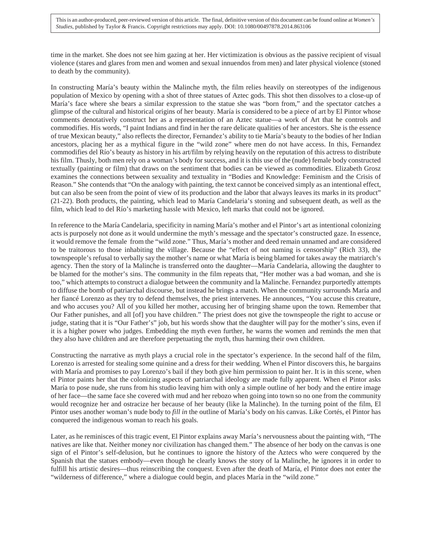time in the market. She does not see him gazing at her. Her victimization is obvious as the passive recipient of visual violence (stares and glares from men and women and sexual innuendos from men) and later physical violence (stoned to death by the community).

In constructing María's beauty within the Malinche myth, the film relies heavily on stereotypes of the indigenous population of Mexico by opening with a shot of three statues of Aztec gods. This shot then dissolves to a close-up of María's face where she bears a similar expression to the statue she was "born from," and the spectator catches a glimpse of the cultural and historical origins of her beauty. María is considered to be a piece of art by El Pintor whose comments denotatively construct her as a representation of an Aztec statue—a work of Art that he controls and commodifies. His words, "I paint Indians and find in her the rare delicate qualities of her ancestors. She is the essence of true Mexican beauty," also reflects the director, Fernandez's ability to tie María's beauty to the bodies of her Indian ancestors, placing her as a mythical figure in the "wild zone" where men do not have access. In this, Fernandez commodifies del Río's beauty as history in his art/film by relying heavily on the reputation of this actress to distribute his film. Thusly, both men rely on a woman's body for success, and it is this use of the (nude) female body constructed textually (painting or film) that draws on the sentiment that bodies can be viewed as commodities. Elizabeth Grosz examines the connections between sexuality and textuality in "Bodies and Knowledge: Feminism and the Crisis of Reason." She contends that "On the analogy with painting, the text cannot be conceived simply as an intentional effect, but can also be seen from the point of view of its production and the labor that always leaves its marks in its product" (21-22). Both products, the painting, which lead to María Candelaria's stoning and subsequent death, as well as the film, which lead to del Río's marketing hassle with Mexico, left marks that could not be ignored.

In reference to the María Candelaria, specificity in naming María's mother and el Pintor's art as intentional colonizing acts is purposely not done as it would undermine the myth's message and the spectator's constructed gaze. In essence, it would remove the female from the "wild zone." Thus, María's mother and deed remain unnamed and are considered to be traitorous to those inhabiting the village. Because the "effect of not naming is censorship" (Rich 33), the townspeople's refusal to verbally say the mother's name or what María is being blamed for takes away the matriarch's agency. Then the story of la Malinche is transferred onto the daughter—María Candelaria, allowing the daughter to be blamed for the mother's sins. The community in the film repeats that, "Her mother was a bad woman, and she is too," which attempts to construct a dialogue between the community and la Malinche. Fernandez purportedly attempts to diffuse the bomb of patriarchal discourse, but instead he brings a match. When the community surrounds María and her fiancé Lorenzo as they try to defend themselves, the priest intervenes. He announces, "You accuse this creature, and who accuses you? All of you killed her mother, accusing her of bringing shame upon the town. Remember that Our Father punishes, and all [of] you have children." The priest does not give the townspeople the right to accuse or judge, stating that it is "Our Father's" job, but his words show that the daughter will pay for the mother's sins, even if it is a higher power who judges. Embedding the myth even further, he warns the women and reminds the men that they also have children and are therefore perpetuating the myth, thus harming their own children.

Constructing the narrative as myth plays a crucial role in the spectator's experience. In the second half of the film, Lorenzo is arrested for stealing some quinine and a dress for their wedding. When el Pintor discovers this, he bargains with María and promises to pay Lorenzo's bail if they both give him permission to paint her. It is in this scene, when el Pintor paints her that the colonizing aspects of patriarchal ideology are made fully apparent. When el Pintor asks María to pose nude, she runs from his studio leaving him with only a simple outline of her body and the entire image of her face—the same face she covered with mud and her rebozo when going into town so no one from the community would recognize her and ostracize her because of her beauty (like la Malinche). In the turning point of the film, El Pintor uses another woman's nude body to *fill in* the outline of María's body on his canvas. Like Cortés, el Pintor has conquered the indigenous woman to reach his goals.

Later, as he reminisces of this tragic event, El Pintor explains away María's nervousness about the painting with, "The natives are like that. Neither money nor civilization has changed them." The absence of her body on the canvas is one sign of el Pintor's self-delusion, but he continues to ignore the history of the Aztecs who were conquered by the Spanish that the statues embody—even though he clearly knows the story of la Malinche, he ignores it in order to fulfill his artistic desires—thus reinscribing the conquest. Even after the death of María, el Pintor does not enter the "wilderness of difference," where a dialogue could begin, and places María in the "wild zone."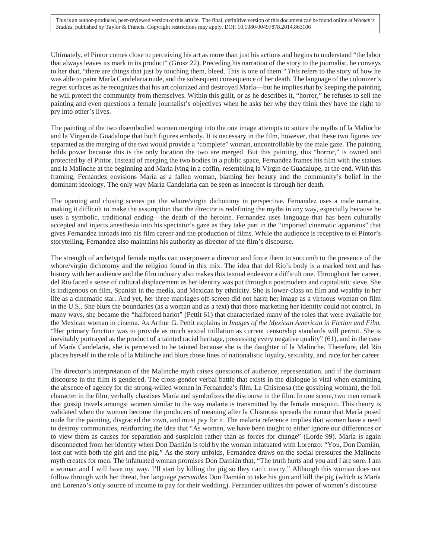Ultimately, el Pintor comes close to perceiving his art as more than just his actions and begins to understand "the labor that always leaves its mark in its product" (Grosz 22). Preceding his narration of the story to the journalist, he conveys to her that, "there are things that just by touching them, bleed. This is one of them." *This* refers to the story of how he was able to paint María Candelaria nude, and the subsequent consequence of her death. The language of the colonizer's regret surfaces as he recognizes that his art colonized and destroyed María—but he implies that by keeping the painting he will protect the community from themselves. Within this guilt, or as he describes it, "horror," he refuses to sell the painting and even questions a female journalist's objectives when he asks her why they think they have the right to pry into other's lives.

The painting of the two disembodied women merging into the one image attempts to suture the myths of la Malinche and la Virgen de Guadalupe that both figures embody. It is necessary in the film, however, that these two figures *are*  separated as the merging of the two would provide a "complete" woman, uncontrollable by the male gaze. The painting holds power because this is the only location the two are merged. But this painting, this "horror," is owned and protected by el Pintor. Instead of merging the two bodies in a public space, Fernandez frames his film with the statues and la Malinche at the beginning and María lying in a coffin, resembling la Virgin de Guadalupe, at the end. With this framing, Fernandez envisions María as a fallen woman, blaming her beauty and the community's belief in the dominant ideology. The only way María Candelaria can be seen as innocent is through her death.

The opening and closing scenes put the whore/virgin dichotomy in perspective. Fernandez uses a male narrator, making it difficult to make the assumption that the director is redefining the myths in any way, especially because he uses a symbolic, traditional ending—the death of the heroine. Fernandez uses language that has been culturally accepted and injects anesthesia into his spectator's gaze as they take part in the "imported cinematic apparatus" that gives Fernandez inroads into his film career and the production of films. While the audience is receptive to el Pintor's storytelling, Fernandez also maintains his authority as director of the film's discourse.

The strength of archetypal female myths can overpower a director and force them to succumb to the presence of the whore/virgin dichotomy and the religion found in this mix. The idea that del Río's body is a marked text and has history with her audience and the film industry also makes this textual endeavor a difficult one. Throughout her career, del Río faced a sense of cultural displacement as her identity was put through a postmodern and capitalistic sieve. She is indigenous on film, Spanish in the media, and Mexican by ethnicity. She is lower-class on film and wealthy in her life as a cinematic star. And yet, her three marriages off-screen did not harm her image as a virtuous woman on film in the U.S.. She blurs the boundaries (as a woman and as a text) that those marketing her identity could not control. In many ways, she became the "halfbreed harlot" (Pettit 61) that characterized many of the roles that were available for the Mexican woman in cinema. As Arthur G. Pettit explains in *Images of the Mexican American in Fiction and Film*, "Her primary function was to provide as much sexual titillation as current censorship standards will permit. She is inevitably portrayed as the product of a tainted racial heritage, possessing every negative quality" (61), and in the case of María Candelaria, she is perceived to be tainted because she is the daughter of la Malinche. Therefore, del Río places herself in the role of la Malinche and blurs those lines of nationalistic loyalty, sexuality, and race for her career.

The director's interpretation of the Malinche myth raises questions of audience, representation, and if the dominant discourse in the film is gendered. The cross-gender verbal battle that exists in the dialogue is vital when examining the absence of agency for the strong-willed women in Fernandez's film. La Chismosa (the gossiping woman), the foil character in the film, verbally chastises María and symbolizes the discourse in the film. In one scene, two men remark that gossip travels amongst women similar to the way malaria is transmitted by the female mosquito. This theory is validated when the women become the producers of meaning after la Chismosa spreads the rumor that María posed nude for the painting, disgraced the town, and must pay for it. The malaria reference implies that women have a need to destroy communities, reinforcing the idea that "As women, we have been taught to either ignore our differences or to view them as causes for separation and suspicion rather than as forces for change" (Lorde 99). María is again disconnected from her identity when Don Damián is told by the woman infatuated with Lorenzo: "You, Don Damián, lost out with both the girl and the pig." As the story unfolds, Fernandez draws on the social pressures the Malinche myth creates for men. The infatuated woman promises Don Damián that, "The truth hurts and you and I are sore. I am a woman and I will have my way. I'll start by killing the pig so they can't marry." Although this woman does not follow through with her threat, her language *persuades* Don Damián to take his gun and kill the pig (which is María and Lorenzo's only source of income to pay for their wedding). Fernandez utilizes the power of women's discourse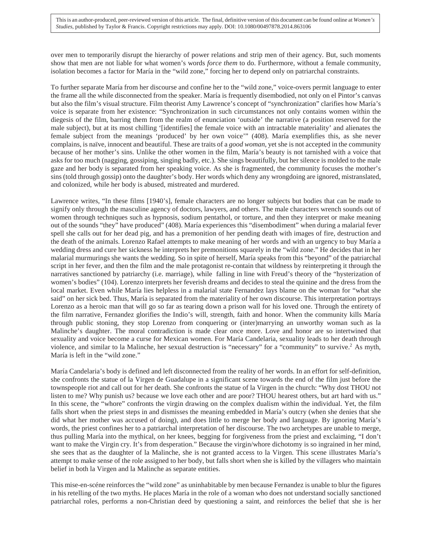over men to temporarily disrupt the hierarchy of power relations and strip men of their agency. But, such moments show that men are not liable for what women's words *force them* to do. Furthermore, without a female community, isolation becomes a factor for María in the "wild zone," forcing her to depend only on patriarchal constraints.

To further separate María from her discourse and confine her to the "wild zone," voice-overs permit language to enter the frame all the while disconnected from the speaker. María is frequently disembodied, not only on el Pintor's canvas but also the film's visual structure. Film theorist Amy Lawrence's concept of "synchronization" clarifies how María's voice is separate from her existence: "Synchronization in such circumstances not only contains women within the diegesis of the film, barring them from the realm of enunciation 'outside' the narrative (a position reserved for the male subject), but at its most chilling '[identifies] the female voice with an intractable materiality' and alienates the female subject from the meanings 'produced' by her own voice'" (408). María exemplifies this, as she never complains, is naïve, innocent and beautiful. These are traits of a *good woman*, yet she is not accepted in the community because of her mother's sins. Unlike the other women in the film, María's beauty is not tarnished with a voice that asks for too much (nagging, gossiping, singing badly, etc.). She sings beautifully, but her silence is molded to the male gaze and her body is separated from her speaking voice. As she is fragmented, the community focuses the mother's sins (told through gossip) onto the daughter's body. Her words which deny any wrongdoing are ignored, mistranslated, and colonized, while her body is abused, mistreated and murdered.

Lawrence writes, "In these films [1940's], female characters are no longer subjects but bodies that can be made to signify only through the masculine agency of doctors, lawyers, and others. The male characters wrench sounds out of women through techniques such as hypnosis, sodium pentathol, or torture, and then they interpret or make meaning out of the sounds "they" have produced" (408). María experiences this "disembodiment" when during a malarial fever spell she calls out for her dead pig, and has a premonition of her pending death with images of fire, destruction and the death of the animals. Lorenzo Rafael attempts to make meaning of her words and with an urgency to buy María a wedding dress and cure her sickness he interprets her premonitions squarely in the "wild zone." He decides that in her malarial murmurings she wants the wedding. So in spite of herself, María speaks from this "beyond" of the patriarchal script in her fever, and then the film and the male protagonist re-contain that wildness by reinterpreting it through the narratives sanctioned by patriarchy (i.e. marriage), while falling in line with Freud's theory of the "hysterization of women's bodies" (104). Lorenzo interprets her feverish dreams and decides to steal the quinine and the dress from the local market. Even while María lies helpless in a malarial state Fernandez lays blame on the woman for "what she said" on her sick bed. Thus, María is separated from the materiality of her own discourse. This interpretation portrays Lorenzo as a heroic man that will go so far as tearing down a prison wall for his loved one. Through the entirety of the film narrative, Fernandez glorifies the Indio's will, strength, faith and honor. When the community kills María through public stoning, they stop Lorenzo from conquering or (inter)marrying an unworthy woman such as la Malinche's daughter. The moral contradiction is made clear once more. Love and honor are so intertwined that sexuality and voice become a curse for Mexican women. For María Candelaria, sexuality leads to her death through violence, and similar to la Malinche, her sexual destruction is "necessary" for a "community" to survive.2 As myth, María is left in the "wild zone."

María Candelaria's body is defined and left disconnected from the reality of her words. In an effort for self-definition, she confronts the statue of la Virgen de Guadalupe in a significant scene towards the end of the film just before the townspeople riot and call out for her death. She confronts the statue of la Virgen in the church: "Why dost THOU not listen to me? Why punish us? because we love each other and are poor? THOU hearest others, but art hard with us." In this scene, the "whore" confronts the virgin drawing on the complex dualism within the individual. Yet, the film falls short when the priest steps in and dismisses the meaning embedded in María's outcry (when she denies that she did what her mother was accused of doing), and does little to merge her body and language. By ignoring María's words, the priest confines her to a patriarchal interpretation of her discourse. The two archetypes are unable to merge, thus pulling María into the mythical, on her knees, begging for forgiveness from the priest and exclaiming, "I don't want to make the Virgin cry. It's from desperation." Because the virgin/whore dichotomy is so ingrained in her mind, she sees that as the daughter of la Malinche, she is not granted access to la Virgen. This scene illustrates María's attempt to make sense of the role assigned to her body, but falls short when she is killed by the villagers who maintain belief in both la Virgen and la Malinche as separate entities.

This mise-en-scéne reinforces the "wild zone" as uninhabitable by men because Fernandez is unable to blur the figures in his retelling of the two myths. He places María in the role of a woman who does not understand socially sanctioned patriarchal roles, performs a non-Christian deed by questioning a saint, and reinforces the belief that she is her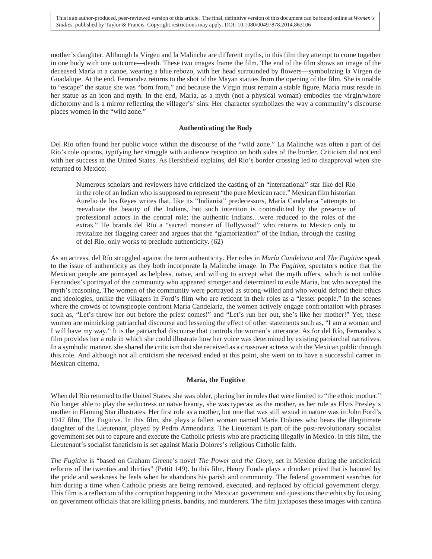mother's daughter. Although la Virgen and la Malinche are different myths, in this film they attempt to come together in one body with one outcome—death. These two images frame the film. The end of the film shows an image of the deceased María in a canoe, wearing a blue rebozo, with her head surrounded by flowers—symbolizing la Virgen de Guadalupe. At the end, Fernandez returns to the shot of the Mayan statues from the opening of the film. She is unable to "escape" the statue she was "born from," and because the Virgin must remain a stable figure, María must reside in her statue as an icon and myth. In the end, María, as a myth (not a physical woman) embodies the virgin/whore dichotomy and is a mirror reflecting the villager's' sins. Her character symbolizes the way a community's discourse places women in the "wild zone."

#### **Authenticating the Body**

Del Río often found her public voice within the discourse of the "wild zone." La Malinche was often a part of del Río's role options, typifying her struggle with audience reception on both sides of the border. Criticism did not end with her success in the United States. As Hershfield explains, del Río's border crossing led to disapproval when she returned to Mexico:

Numerous scholars and reviewers have criticized the casting of an "international" star like del Río in the role of an Indian who is supposed to represent "the pure Mexican race." Mexican film historian Aurelio de los Reyes writes that, like its "Indianist" predecessors, María Candelaria "attempts to reevaluate the beauty of the Indians, but such intention is contradicted by the presence of professional actors in the central role; the authentic Indians…were reduced to the roles of the extras." He brands del Río a "sacred monster of Hollywood" who returns to Mexico only to revitalize her flagging career and argues that the "glamorization" of the Indian, through the casting of del Río, only works to preclude authenticity. (62)

As an actress, del Río struggled against the term authenticity. Her roles in *María Candelaria* and *The Fugitive* speak to the issue of authenticity as they both incorporate la Malinche image. In *The Fugitive*, spectators notice that the Mexican people are portrayed as helpless, naïve, and willing to accept what the myth offers, which is not unlike Fernandez's portrayal of the community who appeared stronger and determined to exile María, but who accepted the myth's reasoning. The women of the community were portrayed as strong-willed and who would defend their ethics and ideologies, unlike the villagers in Ford's film who are reticent in their roles as a "lesser people." In the scenes where the crowds of townspeople confront María Candelaria, the women actively engage confrontation with phrases such as, "Let's throw her out before the priest comes!" and "Let's run her out, she's like her mother!" Yet, these women are mimicking patriarchal discourse and lessening the effect of other statements such as, "I am a woman and I will have my way." It is the patriarchal discourse that controls the woman's utterance. As for del Río, Fernandez's film provides her a role in which she could illustrate how her voice was determined by existing patriarchal narratives. In a symbolic manner, she shared the criticism that she received as a crossover actress with the Mexican public through this role. And although not all criticism she received ended at this point, she went on to have a successful career in Mexican cinema.

#### **María, the Fugitive**

When del Río returned to the United States, she was older, placing her in roles that were limited to "the ethnic mother." No longer able to play the seductress or naïve beauty, she was typecast as the mother, as her role as Elvis Presley's mother in Flaming Star illustrates. Her first role as a mother, but one that was still sexual in nature was in John Ford's 1947 film, The Fugitive. In this film, she plays a fallen woman named María Dolores who bears the illegitimate daughter of the Lieutenant, played by Pedro Armendariz. The Lieutenant is part of the post-revolutionary socialist government set out to capture and execute the Catholic priests who are practicing illegally in Mexico. In this film, the Lieutenant's socialist fanaticism is set against María Dolores's religious Catholic faith.

*The Fugitive* is "based on Graham Greene's novel *The Power and the Glory*, set in Mexico during the anticlerical reforms of the twenties and thirties" (Pettit 149). In this film, Henry Fonda plays a drunken priest that is haunted by the pride and weakness he feels when he abandons his parish and community. The federal government searches for him during a time when Catholic priests are being removed, executed, and replaced by official government clergy. This film is a reflection of the corruption happening in the Mexican government and questions their ethics by focusing on government officials that are killing priests, bandits, and murderers. The film juxtaposes these images with cantina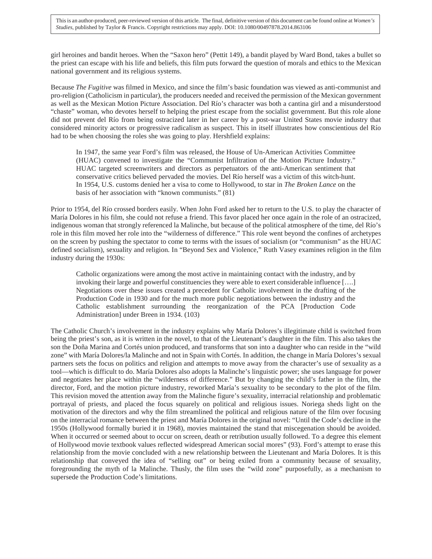girl heroines and bandit heroes. When the "Saxon hero" (Pettit 149), a bandit played by Ward Bond, takes a bullet so the priest can escape with his life and beliefs, this film puts forward the question of morals and ethics to the Mexican national government and its religious systems.

Because *The Fugitive* was filmed in Mexico, and since the film's basic foundation was viewed as anti-communist and pro-religion (Catholicism in particular), the producers needed and received the permission of the Mexican government as well as the Mexican Motion Picture Association. Del Río's character was both a cantina girl and a misunderstood "chaste" woman, who devotes herself to helping the priest escape from the socialist government. But this role alone did not prevent del Río from being ostracized later in her career by a post-war United States movie industry that considered minority actors or progressive radicalism as suspect. This in itself illustrates how conscientious del Río had to be when choosing the roles she was going to play. Hershfield explains:

In 1947, the same year Ford's film was released, the House of Un-American Activities Committee (HUAC) convened to investigate the "Communist Infiltration of the Motion Picture Industry." HUAC targeted screenwriters and directors as perpetuators of the anti-American sentiment that conservative critics believed pervaded the movies. Del Río herself was a victim of this witch-hunt. In 1954, U.S. customs denied her a visa to come to Hollywood, to star in *The Broken Lance* on the basis of her association with "known communists." (81)

Prior to 1954, del Río crossed borders easily. When John Ford asked her to return to the U.S. to play the character of María Dolores in his film, she could not refuse a friend. This favor placed her once again in the role of an ostracized, indigenous woman that strongly referenced la Malinche, but because of the political atmosphere of the time, del Río's role in this film moved her role into the "wilderness of difference." This role went beyond the confines of archetypes on the screen by pushing the spectator to come to terms with the issues of socialism (or "communism" as the HUAC defined socialism), sexuality and religion. In "Beyond Sex and Violence," Ruth Vasey examines religion in the film industry during the 1930s:

Catholic organizations were among the most active in maintaining contact with the industry, and by invoking their large and powerful constituencies they were able to exert considerable influence [….] Negotiations over these issues created a precedent for Catholic involvement in the drafting of the Production Code in 1930 and for the much more public negotiations between the industry and the Catholic establishment surrounding the reorganization of the PCA [Production Code Administration] under Breen in 1934. (103)

The Catholic Church's involvement in the industry explains why María Dolores's illegitimate child is switched from being the priest's son, as it is written in the novel, to that of the Lieutenant's daughter in the film. This also takes the son the Doña Marina and Cortés union produced, and transforms that son into a daughter who can reside in the "wild zone" with María Dolores/la Malinche and not in Spain with Cortés. In addition, the change in María Dolores's sexual partners sets the focus on politics and religion and attempts to move away from the character's use of sexuality as a tool—which is difficult to do. María Dolores also adopts la Malinche's linguistic power; she uses language for power and negotiates her place within the "wilderness of difference." But by changing the child's father in the film, the director, Ford, and the motion picture industry, reworked María's sexuality to be secondary to the plot of the film. This revision moved the attention away from the Malinche figure's sexuality, interracial relationship and problematic portrayal of priests, and placed the focus squarely on political and religious issues. Noriega sheds light on the motivation of the directors and why the film streamlined the political and religious nature of the film over focusing on the interracial romance between the priest and María Dolores in the original novel: "Until the Code's decline in the 1950s (Hollywood formally buried it in 1968), movies maintained the stand that miscegenation should be avoided. When it occurred or seemed about to occur on screen, death or retribution usually followed. To a degree this element of Hollywood movie textbook values reflected widespread American social mores" (93). Ford's attempt to erase this relationship from the movie concluded with a new relationship between the Lieutenant and María Dolores. It is this relationship that conveyed the idea of "selling out" or being exiled from a community because of sexuality, foregrounding the myth of la Malinche. Thusly, the film uses the "wild zone" purposefully, as a mechanism to supersede the Production Code's limitations.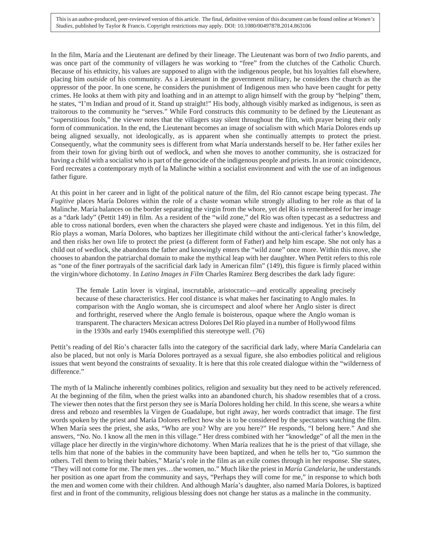This is an author-produced, peer-reviewed version of this article. The final, definitive version of this document can be found online at *Women's Studies*, published by Taylor & Francis. Copyright restrictions may apply. DOI: 10.1080/00497878.2014.863106

In the film, María and the Lieutenant are defined by their lineage. The Lieutenant was born of two *Indio* parents, and was once part of the community of villagers he was working to "free" from the clutches of the Catholic Church. Because of his ethnicity, his values are supposed to align with the indigenous people, but his loyalties fall elsewhere, placing him *outside* of his community. As a Lieutenant in the government military, he considers the church as the oppressor of the poor. In one scene, he considers the punishment of Indigenous men who have been caught for petty crimes. He looks at them with pity and loathing and in an attempt to align himself with the group by "helping" them, he states, "I'm Indian and proud of it. Stand up straight!" His body, although visibly marked as indigenous, is seen as traitorous to the community he "serves." While Ford constructs this community to be defined by the Lieutenant as "superstitious fools," the viewer notes that the villagers stay silent throughout the film, with prayer being their only form of communication. In the end, the Lieutenant becomes an image of socialism with which María Dolores ends up being aligned sexually, not ideologically, as is apparent when she continually attempts to protect the priest. Consequently, what the community sees is different from what María understands herself to be. Her father exiles her from their town for giving birth out of wedlock, and when she moves to another community, she is ostracized for having a child with a socialist who is part of the genocide of the indigenous people and priests. In an ironic coincidence, Ford recreates a contemporary myth of la Malinche within a socialist environment and with the use of an indigenous father figure.

At this point in her career and in light of the political nature of the film, del Río cannot escape being typecast. *The Fugitive* places María Dolores within the role of a chaste woman while strongly alluding to her role as that of la Malinche. María balances on the border separating the virgin from the whore, yet del Río is remembered for her image as a "dark lady" (Pettit 149) in film. As a resident of the "wild zone," del Río was often typecast as a seductress and able to cross national borders, even when the characters she played were chaste and indigenous. Yet in this film, del Río plays a woman, María Dolores, who baptizes her illegitimate child without the anti-clerical father's knowledge, and then risks her own life to protect the priest (a different form of Father) and help him escape. She not only has a child out of wedlock, she abandons the father and knowingly enters the "wild zone" once more. Within this move, she chooses to abandon the patriarchal domain to make the mythical leap with her daughter. When Pettit refers to this role as "one of the finer portrayals of the sacrificial dark lady in American film" (149), this figure is firmly placed within the virgin/whore dichotomy. In *Latino Images in Film* Charles Ramírez Berg describes the dark lady figure:

The female Latin lover is virginal, inscrutable, aristocratic—and erotically appealing precisely because of these characteristics. Her cool distance is what makes her fascinating to Anglo males. In comparison with the Anglo woman, she is circumspect and aloof where her Anglo sister is direct and forthright, reserved where the Anglo female is boisterous, opaque where the Anglo woman is transparent. The characters Mexican actress Dolores Del Río played in a number of Hollywood films in the 1930s and early 1940s exemplified this stereotype well. (76)

Pettit's reading of del Río's character falls into the category of the sacrificial dark lady, where María Candelaria can also be placed, but not only is María Dolores portrayed as a sexual figure, she also embodies political and religious issues that went beyond the constraints of sexuality. It is here that this role created dialogue within the "wilderness of difference."

The myth of la Malinche inherently combines politics, religion and sexuality but they need to be actively referenced. At the beginning of the film, when the priest walks into an abandoned church, his shadow resembles that of a cross. The viewer then notes that the first person they see is María Dolores holding her child. In this scene, she wears a white dress and rebozo and resembles la Virgen de Guadalupe, but right away, her words contradict that image. The first words spoken by the priest and María Dolores reflect how she is to be considered by the spectators watching the film. When María sees the priest, she asks, "Who are you? Why are you here?" He responds, "I belong here." And she answers, "No. No. I know all the men in this village." Her dress combined with her "knowledge" of all the men in the village place her directly in the virgin/whore dichotomy. When María realizes that he is the priest of that village, she tells him that none of the babies in the community have been baptized, and when he tells her to, "Go summon the others. Tell them to bring their babies," María's role in the film as an exile comes through in her response. She states, "They will not come for me. The men yes…the women, no." Much like the priest in *María Candelaria*, he understands her position as one apart from the community and says, "Perhaps they will come for me," in response to which both the men and women come with their children. And although María's daughter, also named María Dolores, is baptized first and in front of the community, religious blessing does not change her status as a malinche in the community.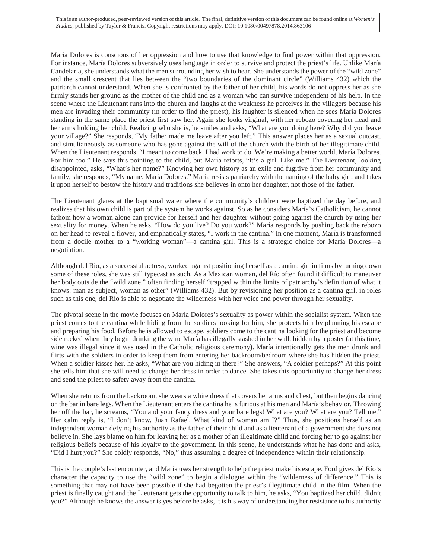This is an author-produced, peer-reviewed version of this article. The final, definitive version of this document can be found online at *Women's Studies*, published by Taylor & Francis. Copyright restrictions may apply. DOI: 10.1080/00497878.2014.863106

María Dolores is conscious of her oppression and how to use that knowledge to find power within that oppression. For instance, María Dolores subversively uses language in order to survive and protect the priest's life. Unlike María Candelaria, she understands what the men surrounding her wish to hear. She understands the power of the "wild zone" and the small crescent that lies between the "two boundaries of the dominant circle" (Williams 432) which the patriarch cannot understand. When she is confronted by the father of her child, his words do not oppress her as she firmly stands her ground as the mother of the child and as a woman who can survive independent of his help. In the scene where the Lieutenant runs into the church and laughs at the weakness he perceives in the villagers because his men are invading their community (in order to find the priest), his laughter is silenced when he sees María Dolores standing in the same place the priest first saw her. Again she looks virginal, with her rebozo covering her head and her arms holding her child. Realizing who she is, he smiles and asks, "What are you doing here? Why did you leave your village?" She responds, "My father made me leave after you left." This answer places her as a sexual outcast, and simultaneously as someone who has gone against the will of the church with the birth of her illegitimate child. When the Lieutenant responds, "I meant to come back. I had work to do. We're making a better world, María Dolores. For him too." He says this pointing to the child, but María retorts, "It's a girl. Like me." The Lieutenant, looking disappointed, asks, "What's her name?" Knowing her own history as an exile and fugitive from her community and family, she responds, "My name. María Dolores." María resists patriarchy with the naming of the baby girl, and takes it upon herself to bestow the history and traditions she believes in onto her daughter, not those of the father.

The Lieutenant glares at the baptismal water where the community's children were baptized the day before, and realizes that his own child is part of the system he works against. So as he considers María's Catholicism, he cannot fathom how a woman alone can provide for herself and her daughter without going against the church by using her sexuality for money. When he asks, "How do you live? Do you work?" María responds by pushing back the rebozo on her head to reveal a flower, and emphatically states, "I work in the cantina." In one moment, María is transformed from a docile mother to a "working woman"—a cantina girl. This is a strategic choice for María Dolores—a negotiation.

Although del Río, as a successful actress, worked against positioning herself as a cantina girl in films by turning down some of these roles, she was still typecast as such. As a Mexican woman, del Río often found it difficult to maneuver her body outside the "wild zone," often finding herself "trapped within the limits of patriarchy's definition of what it knows: man as subject, woman as other" (Williams 432). But by revisioning her position as a cantina girl, in roles such as this one, del Río is able to negotiate the wilderness with her voice and power through her sexuality.

The pivotal scene in the movie focuses on María Dolores's sexuality as power within the socialist system. When the priest comes to the cantina while hiding from the soldiers looking for him, she protects him by planning his escape and preparing his food. Before he is allowed to escape, soldiers come to the cantina looking for the priest and become sidetracked when they begin drinking the wine María has illegally stashed in her wall, hidden by a poster (at this time, wine was illegal since it was used in the Catholic religious ceremony). María intentionally gets the men drunk and flirts with the soldiers in order to keep them from entering her backroom/bedroom where she has hidden the priest. When a soldier kisses her, he asks, "What are you hiding in there?" She answers, "A soldier perhaps?" At this point she tells him that she will need to change her dress in order to dance. She takes this opportunity to change her dress and send the priest to safety away from the cantina.

When she returns from the backroom, she wears a white dress that covers her arms and chest, but then begins dancing on the bar in bare legs. When the Lieutenant enters the cantina he is furious at his men and María's behavior. Throwing her off the bar, he screams, "You and your fancy dress and your bare legs! What are you? What are you? Tell me." Her calm reply is, "I don't know, Juan Rafael. What kind of woman am I?" Thus, she positions herself as an independent woman defying his authority as the father of their child and as a lieutenant of a government she does not believe in. She lays blame on him for leaving her as a mother of an illegitimate child and forcing her to go against her religious beliefs because of his loyalty to the government. In this scene, he understands what he has done and asks, "Did I hurt you?" She coldly responds, "No," thus assuming a degree of independence within their relationship.

This is the couple's last encounter, and María uses her strength to help the priest make his escape. Ford gives del Río's character the capacity to use the "wild zone" to begin a dialogue within the "wilderness of difference." This is something that may not have been possible if she had begotten the priest's illegitimate child in the film. When the priest is finally caught and the Lieutenant gets the opportunity to talk to him, he asks, "You baptized her child, didn't you?" Although he knows the answer is yes before he asks, it is his way of understanding her resistance to his authority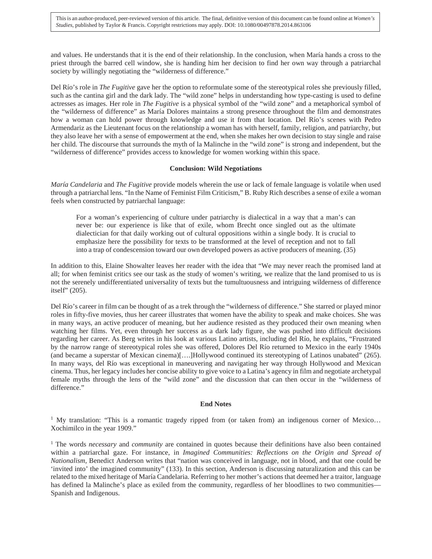and values. He understands that it is the end of their relationship. In the conclusion, when María hands a cross to the priest through the barred cell window, she is handing him her decision to find her own way through a patriarchal society by willingly negotiating the "wilderness of difference."

Del Río's role in *The Fugitive* gave her the option to reformulate some of the stereotypical roles she previously filled, such as the cantina girl and the dark lady. The "wild zone" helps in understanding how type-casting is used to define actresses as images. Her role in *The Fugitive* is a physical symbol of the "wild zone" and a metaphorical symbol of the "wilderness of difference" as María Dolores maintains a strong presence throughout the film and demonstrates how a woman can hold power through knowledge and use it from that location. Del Río's scenes with Pedro Armendariz as the Lieutenant focus on the relationship a woman has with herself, family, religion, and patriarchy, but they also leave her with a sense of empowerment at the end, when she makes her own decision to stay single and raise her child. The discourse that surrounds the myth of la Malinche in the "wild zone" is strong and independent, but the "wilderness of difference" provides access to knowledge for women working within this space.

#### **Conclusion: Wild Negotiations**

*María Candelaria* and *The Fugitive* provide models wherein the use or lack of female language is volatile when used through a patriarchal lens. "In the Name of Feminist Film Criticism," B. Ruby Rich describes a sense of exile a woman feels when constructed by patriarchal language:

For a woman's experiencing of culture under patriarchy is dialectical in a way that a man's can never be: our experience is like that of exile, whom Brecht once singled out as the ultimate dialectician for that daily working out of cultural oppositions within a single body. It is crucial to emphasize here the possibility for texts to be transformed at the level of reception and not to fall into a trap of condescension toward our own developed powers as active producers of meaning. (35)

In addition to this, Elaine Showalter leaves her reader with the idea that "We may never reach the promised land at all; for when feminist critics see our task as the study of women's writing, we realize that the land promised to us is not the serenely undifferentiated universality of texts but the tumultuousness and intriguing wilderness of difference itself" (205).

Del Río's career in film can be thought of as a trek through the "wilderness of difference." She starred or played minor roles in fifty-five movies, thus her career illustrates that women have the ability to speak and make choices. She was in many ways, an active producer of meaning, but her audience resisted as they produced their own meaning when watching her films. Yet, even through her success as a dark lady figure, she was pushed into difficult decisions regarding her career. As Berg writes in his look at various Latino artists, including del Río, he explains, "Frustrated by the narrow range of stereotypical roles she was offered, Dolores Del Río returned to Mexico in the early 1940s (and became a superstar of Mexican cinema)[….]Hollywood continued its stereotyping of Latinos unabated" (265). In many ways, del Río was exceptional in maneuvering and navigating her way through Hollywood and Mexican cinema. Thus, her legacy includes her concise ability to give voice to a Latina's agency in film and negotiate archetypal female myths through the lens of the "wild zone" and the discussion that can then occur in the "wilderness of difference."

#### **End Notes**

<sup>1</sup> My translation: "This is a romantic tragedy ripped from (or taken from) an indigenous corner of Mexico... Xochimilco in the year 1909."

<sup>1</sup> The words *necessary* and *community* are contained in quotes because their definitions have also been contained within a patriarchal gaze. For instance, in *Imagined Communities: Reflections on the Origin and Spread of Nationalism*, Benedict Anderson writes that "nation was conceived in language, not in blood, and that one could be 'invited into' the imagined community" (133). In this section, Anderson is discussing naturalization and this can be related to the mixed heritage of María Candelaria. Referring to her mother's actions that deemed her a traitor, language has defined la Malinche's place as exiled from the community, regardless of her bloodlines to two communities— Spanish and Indigenous.